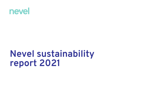

# **Nevel sustainability report 2021**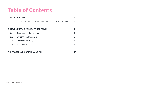# **Table of Contents**

| <b>INTRODUCTION</b> |                                                              | 3  |
|---------------------|--------------------------------------------------------------|----|
| 1.1                 | Company and report background, 2021 highlights, and strategy | 3  |
|                     |                                                              |    |
|                     | 2 NEVEL SUSTAINABILITY PROGRAMME                             |    |
| 2.1                 | Description of the framework                                 |    |
| 2.2                 | Environmental responsibility                                 | 8  |
| 2.3                 | Social responsibility                                        | 15 |
| 2.4                 | Governance                                                   |    |
|                     |                                                              |    |

### **3 REPORTING PRINCIPLES AND GRI 18**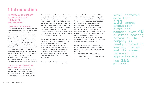# **1 Introduction**

### **1.1 COMPANY AND REPORT BACKGROUND, 2021 HIGHLIGHTS, AND STRATEGY**

#### **1.1.1 COMPANY BACKGROUND**

Nevel is a utility infrastructure company offering advanced industrial and municipal infrastructure solutions that are future-proof and fit for customers' purposes. Nevel operates more than 130 energy production sites and manages over 40 district heating networks. The company is headquartered in Vantaa, Finland and its annual turnover is approximately EUR 100 million. At the end of 2021, Nevel employed 150 experts in Finland, Sweden and Estonia. We are committed to a climate-positive future, driving societal impact by co-creating local circular economies and powering transformation to carbon-neutral energy production. Nevel provides industries, municipalities, real-estate businesses and households with solutions for carbon neutrality, enhancing living standards and competitiveness.

#### **1.1.2 REPORT BACKGROUND AND MATERIALITY ASSESSMENT**

Nevel's 2021 sustainability report provides an overview of key events and performance across all markets where the company operates. The report references disclosures from the Global

Reporting Initiative (GRI) topic-specific standards presented at the end of the report as well as from the UN Sustainable Development Goals. The report is approved by the Board of Directors and published annually during the first half of the year on Nevel's website and social media channels. As this is Nevel's first sustainability report, possible restatements (calculations, entities) will be specified in future reports. The report has not been externally audited. The key contact for the report is Nevel's Director of Sustainability.

To create a strong basis and meaningful focus for our future sustainability work, Nevel conducted a materiality assessment during 2021. The assessment guides our sustainability work and actions to ensure that they meet stakeholder expectations. The assessment was based on external and internal background studies and surveys conducted in cooperation with independent partners Futurelab, Gaia Consulting and Ramboll.

The customer study focused on identifying customer expectations in terms of daily actions

and co-operation. The study consisted of 28 customer interviews with municipal and private district heating customers in Finland and Sweden. The internal employee assessments focused on identifying the most important sustainability and safety topics as well as improvement opportunities. Around 150 responses and inputs were provided for the surveys and interviews. Overall, customers emphasised a focus on strategic partnerships, resource efficiency and decreasing carbon emissions, while employees focused on safety issues in particular. According to the studies, Nevel has a good foundation for creating a systematic approach to sustainability.

Based on the findings, Nevel's experts crystallised the company's sustainability vision and the key ESG topics. Three main sustainability themes were identified:

- High-quality health and safety culture
- Transition to carbon-neutral energy production
- Co-creation of local circular economies

# Nevel operates more than **130** energy production sites and manages over **40** district heating networks. The company is headquartered in Vantaa, Finland and its annual turnover is approximately EUR **100** million.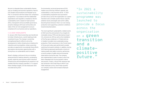We aim to integrate these sustainability themes into our strategy and business operations. Nevel's ESG targets and procedures are followed-up by PwC in connection with the Ardian ESG compliance programme. In accordance with the stakeholder expectations and regulatory compliance, Nevel's sustainability work is based on high business ethics, transparent and accountable governance, proactive dialogue with local communities and state-of-the-art risk management to ensure compliance for our business and our operations.

#### **1.1.3 2021 HIGHLIGHTS**

In January 2021, Nevel ownership was transferred to Ardian Infrastructure, a world-leading private investment house. The change in ownership strengthened Nevel's efforts to drive the development of utility infrastructure initiatives for industries and municipalities. Ardian ownership provides an opportunity to accelerate these efforts and explore new business opportunities with a strong focus on sustainability and its impact.

Nevel's strategy continues to focus on building advanced district heating networks, accelerating growth, exploring new business within industrial infrastructure and strengthening its presence in all markets that the company operates in. To support these strategic targets, 30 new employees were recruited during 2021.

Environmental, social and governance (ESG) matters are at the top of Nevel's agenda, and sustainability is a key business driver. In 2021 a sustainability programme was launched to provide a focus across the organisation on a green transition and a climate-positive future. Specific ambition levels and targets were set for safety. becoming fossil emission-free in our own energy production and supporting customers' ambitions towards decarbonisation.

The most significant sustainability-related events of 2021 were the achievement of our targets for renewable energy (75%) and decreasing Scope 1 CO<sub>2</sub> emissions by 35% as well as the installation of five flue gas condensers in Finland and one in Sweden to enable more sustainable energy production. Plant conversions in the Finnish towns of Forssa and Lieksa were performed to enable switching from peat to biofuels. In addition, during 2021 Nevel progressed significantly in terms of making health and safety a priority, performing a record number of safety and environmental observations during the year. The company also implemented a code of conduct, which has been integrated into its procurement criteria and process. Finally, a record 91% response rate was achieved in the Great Place to Work Trust Index employee survey, which helps quantify our company culture and increases employee engagement.

"In 2021 a sustainability programme was launched to provide a focus across the organisation on a **green transition and a climatepositive future."**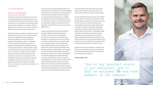#### **1.1.4 CEO'S REVIEW**

#### **Nevel is a sustainability and a growth company**

At Nevel, we put ESG and safety first. The core of our strategy goes beyond just producing energy and heat. We see our role as building local circular economies for our customers and supporting their decarbonisation ambitions as a partner. With this approach, we are realising our vision: working for a green transition and a climate-positive future.

Working in a heavily process-focused environment and delivering services for our customers always starts from a health and safety perspective. Promoting wellbeing at work involves both employer and employees. Nevel is committed to ensuring good management practices, fair treatment of employees and a healthy and safe working environment. Our safety agenda is based on the principle of achieving zero injuries and our focus is on preventive safety measures. Safety assessments, walks, audits, observations and discussions are part of our everyday work and embedded into our way of working as a learning organisation. We need to improve our safety practices every day to prevent injuries and to ensure our employees, customers and partners can go home safely.

In 2021, due to the ongoing global pandemic, we continued strict measures to ensure the availability of energy for all our customers, maintain business continuity and secure the health and safety of our own employees and those of our suppliers. The pandemic presented challenges for all of us, so I would like to express my sincere thanks to all our employees, customers and partners for the dedication and effort they have shown during this difficult time.

Ardian's ownership and investment capability provides significant growth opportunities for Nevel, and we now have the capability and resources to explore new initiatives and strengthen our presence across all the markets in which we operate. One of our greatest assets is our employees, and in 2021 we welcomed 30 new team members to the company. In the midst of the energy market transformation and tightening climate-related targets, our customers are seeking solutions that enable efficient and optimal use of resources as well as predictability in complex operating environments. We help customers streamline their energy production and management of side streams to achieve their carbon neutrality targets. In the coming years Nevel aims to invest in municipal and industrial infrastructure in the Nordics, including scaling up the offering of heat supply as a service to industrial customers and creating long-term partnerships

with municipalities. We have made a good start and are well-prepared to play a key role in the transformation towards a carbon-neutral society.

The war started by Russia in Ukraine, which began in early 2022, has shocked us all greatly. The war has significant consequences for the energy sector and the economy as a whole, and businesses and individuals alike are once again dealing with increased uncertainty. Despite the challenging circumstances Nevel is able to ensure heat and energy supply and we forsee no immediate supply challenges. We are taking measures to ensure continued access to energy and continuously assessing the potential and actual impacts of the war. As a business we have provided support to the people of Ukraine via UNICEF. Work continues with our partners and customers to tackle the crisis.

Despite the current circumstances, I would like to thank all our employees, partners and customers for tackling the challenges we have all faced and for making 2021 a fruitful year.

**Thomas Luther, CEO**



"One of our greatest assets is our employees, and in 2021 we welcomed **30** new team members to the company."

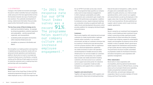#### **1.1.5 STRATEGY**

Changes in the market environment and targets focused on carbon neutrality have put companies under pressure to find new opportunities to drive the transition towards new ways of working and new solutions. The systematic development of energy, material and information flows provides opportunities that benefit society as a whole.

#### **The key focus areas of Nevel strategy are to:**

- build next-level district heating for example by enhancing operations, customer experience and sustainability – and drive growth both organically and via acquisitions
- accelerate growth and explore new business within industrial infrastructure and
- strengthen our presence in the Nordics and Baltics.

We strengthen our leading position and expertise in digitalising energy-production assets with our advanced remote operations and maintenance platform. Nevel aims to invest in municipal and industrial infrastructure in the Nordics, including scaling up the offering of heat supply as a service to industrial customers and in creating long-term partnerships with municipalities.

#### **Cooperation with stakeholders**

#### **Employees**

Nevel is part of the Great Place To Work (GPTW) employee programme through its annual Trust Index employee survey. In 2021 the response rate

"In 2021 the response rate for our GPTW Trust Index survey was a record **91%**. The programme helps quantify our company culture and increase employee engagement."

for our GPTW Trust Index survey was a record 91%. The programme helps quantify our company culture and increase employee engagement. In 2021, employee sustainability and safety assessments were conducted to gain insights into Nevel's ESG performance and agenda. In addition to employee surveys, regular employee meetings are conducted, including occupational health and safety forums and development discussions, which provide a platform for managing individual targets and performance.

#### **Customers**

Nevel works together with industrial and municipal customers to create transformation roadmaps towards carbon neutrality. In an uncertain environment, we help our customers minimise risks by investing in infrastructure and advising them on fit-for-purpose solutions. With our experience and our advanced digitalisation capabilities we create economies of scale in the operation and development of reliable and secure utility infrastructure. Our services enable our customers to focus on their core business. Our customer base includes real-estate and district-heating customers, who have access to our customer service support and online portal. For industrial customers our cooperation model provides transparency and supports the co-creation of solutions.

#### **Suppliers and subcontractors**

Together with approximately 2,000 suppliers and subcontractors, Nevel aims to build partnerships

that are focused on transparency, safety, security of supply and a sustainable value chain. In addition to quality and price, our criteria include operational ethics, which concern our suppliers and subcontractors as well as all employees in the supply value chain. During 2021, Nevel renewed its fuel-sourcing practices. We also published our supplier code of conduct, which is part of all new supplier agreements.

#### **Owners**

Nevel is owned by an investment fund managed by Ardian, a world-leading private investment house. Ardian's ownership provides significant growth opportunities for Nevel and allows the company to explore new initiatives, expand its sustainability impact, and strengthen its presence across all the markets in which it operates. Nevel's governance model supports the maintenance and promotion of high-quality decision making and leadership. The governance structure includes committees as preparatory bodies for the Board of Directors and allows transparency and cooperation with operative management.

#### **Other stakeholders**

Nevel works in close cooperation with municipalities, planning optimal transformation paths towards a resource-efficient future, covering areas such as municipal infrastructure operating models and potential investment models. With authorities, we build open dialogue and cooperation. Nevel is an active member of Finnish Energy and Fossil Free Sweden.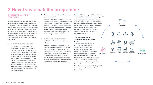# **2 Nevel sustainability programme**

#### **2.1. DESCRIPTION OF THE FRAMEWORK**

At Nevel, sustainability is the key driver for our entire business and is embedded in Nevel's key strategy focus areas. We believe it enhances safety and wellbeing as well as builds a competitive edge for us and our stakeholders. We are committed to building a green transition and a climate-positive future where people, communities and businesses can prosper. We drive this change through our sustainability approach, which is based on three focus areas:

#### **1. Co-creating local circular economies**

We are committed to co-creating and promoting reliable and secure local circular economies together with our customers and partners. This includes working together with local communities and industries to increase understanding of circular economy concepts and biodiversity. We build and innovate new concepts that enable a technology-neutral transition to carbon-neutral operations and increase the share of side streams used. We work together with biofuel suppliers, ensuring sustainable practices. We use residual wood that is fit for purpose.

#### **2. Driving transformation to fossil-free energy production by 2030**

We are committed to becoming fossil free in our own energy production by 2030 and supporting our customers' technology-neutral transition towards CO<sub>2</sub> neutrality. We invest in renewable energy, modernising heating plants and district heating networks, optimising energy use, minimising use of fuel and keeping flue gas residual oxygen levels to a minimum.

#### **3. Building a strong safety culture and sustainable and transparent corporate citizenship**

We are committed to building a culture that provides a safe, healthy working environment for us, our customers and our partners. We have high ethics and transparent, accountable governance, strive for proactive dialogue with local communities and follow state-ofthe-art risk management practices to ensure compliance for our business and our operations. We ensure the security of energy supply.

Sustainability is the responsibility of all Nevel employees. We expect everyone to act responsibly and to follow our code of conduct. The role of Nevel's ESG organisation is to support the business in ESG practices; develop standards, coordinate and develop practices to increase safety, improve wellbeing and ensure compliance; and enhance the economic, social and environmental impact of the company's operations.

#### **The UN 2030 Agenda for Sustainable Development guides our way**

The United Nations 2030 Agenda for Sustainable Development, adopted by all United Nations member states in 2015, provides a shared vision for global sustainability. Nevel is committed to advancing the implementation of the UN Sustainable Development Goals. In our core business we focus especially on the following goals: 7 – Affordable and Clean Energy; 8 –Decent Work and Economic Growth; 9 – Industry, Innovation and Infrastructure; 12 – Responsible Consumption and Production; and 15 – Life on Land.



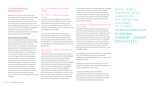### **2.2 ENVIRONMENTAL RESPONSIBILITY**

Operating in European Union member states, Nevel supports the EU goals that aim to transform the EU into a resource-efficient, green and competitive low-carbon economy by 2050. Our environmental ways of working are based on the UN Sustainable Development Goals 7, 9, 12 and 15, and we work to achieve sustainable management and efficient use of natural resources. We continuously seek ways to improve our business to reduce emissions and minimise waste.

#### **Nevel decarbonisation roadmap**

As we work towards achieving a climate-positive future, the path towards decarbonisation includes significant development stages. In the first stage the focus is on phasing out fossil fuels and replacing them with renewables as well as the utilisation of side streams and heat recovery. In the second stage the focus is on implementing non-combustion solutions and power to heat. In the third stage the focus is on investigating new technologies. The direction is towards a well-balanced energy system that uses a mix of different technologies. Through its own energy production Nevel provides district heating and energy to real estate customers, households and businesses, and provides advanced utility infrastructure services for industrial companies. Decisions regarding investments in energy sources used for industrial companies are taken by customers.

#### **2.2.1 SUSTAINABLE DEVELOPMENT GOALS**

#### **2.2.1.1 SDG 7 – Affordable and Clean Energy**

To advance this goal our target is to become fossil free in our own energy production by 2030. We are transitioning from fossil fuels to bioenergy, from biofuels to non-combustion and towards the use of electricity. A transformation roadmap with determined sub-targets has been created.

A just transition means that the transformation towards decarbonisation takes into consideration social, economic and environmental impacts and aims to minimise the negative side effects that the transformation may create. We drive transformation in all municipalities where Nevel is present, not only the biggest cities.

#### **2.2.1.2 SDG 9 – Industry, Innovation and Infrastructure**

Nevel works together with industrial and municipal customers to create transformation roadmaps towards carbon neutrality. This work includes developing and innovating advanced utility infrastructure concepts and implementing and running the required infrastructure for energy, material and information flows. To make infrastructures more sustainable we increase resource efficiency and the adoption of clean and environmentally sound technologies and industrial processes. Committed to a climate-positive future, we drive societal impact by co-creating local circular economies through utilising local industrial side streams for new purposes and driving the

transformation to fossil-free energy production. Examples of our industrial customers are Atria, Fazer, Foodhills, Sandvik Coromant and Valio. The industrial utility and side-stream solutions we offer include energy solutions such as steam, heat, industrial-scale cooling and heat recovery, material efficiency solutions and industrial water treatment solutions.

#### **2.2.1.3 SDG 12 – Responsible Production and Consumption**

To enable the transition towards carbon neutrality, we provide our district heating and real-estate customers with care-free access to energy and a reliable and secure future-proof energy platform as district heating can be connected to almost any type of power plant and energy source. We do this by increasing the share of renewable energy in our own energy mix as well as by investing in and optimising energy efficiency. We support industrial customers with streamlining their energy needs and managing side streams to help them achieve their carbon neutrality targets.

As an example, we continuously enhance fuel optimisation and energy efficiency through our remote digital operations and maintenance platform and by investing in plant modernisation.

We continuously develop the sustainability of our own production and supply-chain management practices and expect our suppliers to do the same.

Our power and heating plants are subject to environmental regulations and emission limits set and supervised by the relevant local authorities. In Finland and Sweden we are certified according to the ISO 14001 environmental management system standard.

Nevel works together with industrial and municipal customers to create **transformation roadmaps towards carbon neutrality.**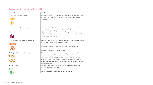# **Sustainable Development Goal (SDG)**

| Personnel and society                                             | <b>Nevel and SDG</b>                                                                                                                                                                                                                                                                                                                                                                          |
|-------------------------------------------------------------------|-----------------------------------------------------------------------------------------------------------------------------------------------------------------------------------------------------------------------------------------------------------------------------------------------------------------------------------------------------------------------------------------------|
| 7 - Affordable and clean energy<br>AFFORDABLE AND<br>CLEAN ENFRGY | We strive to become $CO2$ emission free in our own production by 2030.<br>We support our customers' technology-neutral transition towards CO <sub>2</sub><br>neutrality.                                                                                                                                                                                                                      |
| 8 - Decent work and economic growth                               | We are committed to offering our employees, partners and visitors<br>a safe, healthy working environment by using methods that prevent<br>injuries and accidents and promote well-being at work. We utilise our<br>working instructions and the competence of our personnel to identify and<br>mitigate risks and hazards.                                                                    |
| 9 - Industry, innovation and infrastructure                       | We build advanced utility infrastructure for and together with industries<br>and municipalities and innovate new concepts.<br>We strive to be part of a wider energy and material ecosystem.<br>We ensure the security of energy supply.                                                                                                                                                      |
| 12 - Responsible consumption and production                       | Together with our customers and partners, we co-create local circular<br>economies, e.g. by utilising side streams and excess heat and minimising<br>waste. We enable technology-neutral transition to carbon-neutral<br>operations and increase the share of side streams and certified wood<br>used in energy production. We promote and increase understanding of<br>the circular economy. |
| 15 - Life on land<br>$15$ an line                                 | We support biodiversity by working together with biofuel suppliers,<br>ensuring sustainable practices.<br>We use certified, residual wood that is fit for purpose.                                                                                                                                                                                                                            |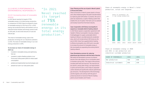#### **2.2.2 NEVEL'S PERFORMANCE IN ENVIRONMENTAL RESPONSIBILITY**

"In 2021

of **75%**

renewable

its target

Nevel reached

energy in its

total energy production."

#### **2.2.2.1 Increasing share of renewable energy**

In 2021 Nevel reached its target of 75% renewable energy in its total energy production. In comparison to 2020, Nevel increased its share of renewable energy by 12% from 67%. In 2021 energy was produced mainly with biofuels such as industrial wood residues and energy wood as well as with peat, oil and small amounts of coal and natural gas.

The share of renewable energy used in the production of energy for our industrial customers is 63%. The share of renewable energy in our own energy production is 83%.

#### **To increase our share of renewable energy in 2021 we:**

- invested in renewable energy and optimising fuel use
- invested in sulphur feeding systems in our Forssa and Lieksa power plants to reduce peat consumption
- piloted and implemented new technologies and
- phased out coal in our Salo power plant.

#### *Case: Phasing out the use of peat in Nevel's plants in Forssa and Lieksa*

*Plant conversions in Nevel's power plants in Forssa and Lieksa helped progress the green transformation by replacing peat with biofuel. In practice, the use of peat was replaced by a sulphur feeding system that enables the use of sulphur-free fuels such as sawdust and residual wood from the forest industry.* 

#### *Case: Cooperation with Åstorp municipality to expand our renewable district heating network*

*In 2021 Nevel signed a cooperation agreement with Sweden's Åstorp municipality's housing company Kvidingebyggen to supply sustainable district heating to Åstorp's new Björnekulla ås residential area, which will include almost 300 homes by the end of 2022. Nevel has supplied district heating to Åstorp municipality since 2015 and is now able to increase the amount of renewable energy in the municipality by expanding the existing district heating network.* 

#### *Case: Developing a process for reducing greenhouse gas emissions with the help of biochar*

*We tested and developed a process to produce biochar from side streams at our incineration plant in Kramfors during 2021. The output of the process includes both heat and charcoal. The charcoal can be used for, among other things, soil improvement in parks and horticulture, which helps to sequester*  carbon dioxide and significantly reduces greenhouse *gas emissions. The development of the technology and the logistics will continue with the goal of producing biochar at several of Nevel's heating plants around Sweden and Finland.*

Share of renewable energy in Nevel's total production, actual and targeted



Share of renewable energy in 2020 and 2021 in own production and industrial customer production

| SHARF OF RENEWARLES  | 2020 | 2021 |
|----------------------|------|------|
| Own production       | 76%  | 83%  |
| Industrial customers | 54%  | 63%  |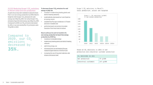#### **2.2.2.2 Reducing Scope 1 CO<sub>2</sub> emissions in Nevel's total and own production**

As part of our long-term ambition to become fossil free in our own energy production by 2030, Nevel´s target for 2021 Scope 1 CO<sub>2</sub> emissions for sold energy was 130g CO<sub>2</sub>/kWh. Our actual Scope 1 CO<sub>2</sub> emissions figure for sold energy was 108g CO<sub>2</sub>/kWh. Compared to 2020, our CO<sub>2</sub> emissions decreased by 35%. In our own production CO<sub>2</sub> emissions were 79 g/kWh in 2021.

Compared to 2020, our  $\textsf{C0}_2$ emissions decreased by **35%.**

#### To decrease Scope 1 CO<sub>2</sub> emissions for sold **energy in 2021 we:**

- invested in modernising heating plants and district heating networks
- systematically decreased our use of peat as an energy source
- installed five flue gas condensers in Finland and one in Sweden and
- performed plant conversions to enable transition from fossil fuels to biofuel.

#### **Nevel continues its work to transform its own energy production to fossil-free energy production by 2030 by:**

- investing in renewable energy
- modernising heating plants and district heating networks
- optimising energy use
- minimising fuel use and keeping flue gas residual oxygen levels to a minimum and
- increasing the use of recycled materials, side streams and excess heat.

#### Scope 1 CO<sub>2</sub> emissions in Nevel's total production, actual and targeted



Share of CO<sub>2</sub> emissions in 2021 in own production and industrial customer production

| CO, EMISSIONS IN 2021 |             |
|-----------------------|-------------|
| Own production        | 179q/kWh    |
| Industrial customers  | $147$ g/kWh |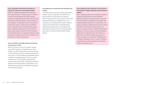#### *Case: Cooperation with Gnosjö municipality to reduce CO2 emissions in local district heating*

*Nevel has supplied renewable district heating to municipal properties in Gnosjö, Sweden since 2018. To meet increased demand, the district heating network was expanded with an energy-efficient wood chip boiler and by extending the culvert network by six kilometres. The new plant was put into operation in the fourth quarter of 2021 and now contributes to the municipality's goal of switching from natural gas to renewable energy sources. The transition to green energy supports several of the municipality's environmental goals. The cooperation between Gnosjö municipality and Nevel reduces the municipality's CO<sub>2</sub> emissions by 2,355 tonnes per year.* 

#### *Case: Investing in renewable energy and reducing CO2 emissions in Tibro*

*Nevel has chosen to invest in an Organic Rankine Cycle (ORC) turbine for its heating plant in Tibro, Sweden. The ORC turbine results in emission savings of up to 504 tonnes of carbon dioxide equivalents per year, which is in line with Nevel's sustainability goal of investing in renewable energy to work for a carbonneutral future. The ORC turbine is planned to be commissioned in early 2022. Compared to producing electricity and heat separately, cogeneration is very*  efficient and currently the most efficient fuel-based *way of producing energy.*

#### *Case: Making use of waste heat with the Nevel Cool solution*

*In 2021 Nevel launched a new cooling solution that enables cooling of properties in connection with district heating. The new Nevel Cool solution is aimed at large properties, and customers can choose heating and cooling as a complete service. The cooling service is connected to the district heating network and includes technical implementation, maintenance and fault alarms. The solution uses waste heat, with excess heat from properties being recovered in connection with the district heating network.* 

#### Case: Enabling further reductions in CO<sub>2</sub> emissions *through Nevel's digital operations and maintenance platform*

*Nevel's digital operations and maintenance platform enables the development and use of different applications based on machine learning. During the fi rst half of 2021, we developed a new solution that enables additional reductions in CO2 emissions. The solution is based on optimising the amount of energy channelled to the district heating network. This allows us to always match our output with the actual demand, so no excess energy is produced. Between September and December 2021, the solution was taken into use at Nevel's largest power plants, in Forssa and Lieksa in Finland, and in heating plants in Jokela and Mynämäki, also in Finland. The plan is to implement the solution at Nevel's other plants in Finland and Sweden as well.*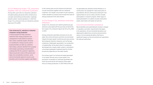#### **2.2.2.3 Reducing Scope 1 CO<sub>2</sub> emissions together with our industrial customers**

During 2021, work with our industrial customers included building advanced utility infrastructure concepts and building transformation roadmaps towards carbon-neutral operations. In 2021 the Scope 1 CO<sub>2</sub> emissions from our industrial customer base were 147 g/kWh.

#### *Case: Achieving CO2 reductions in industrial companies' energy production*

*In typical projects we help customers streamline their energy production and management of side streams to achieve their carbon-neutrality targets. Decisions on investments in energy sources used in existing facilities are taken by customers. Nevel helps customers identify fi t-for-purpose technologies, generating a transformation roadmap that fits the customer's objectives. Nevel ensures the control of the process and takes into consideration economic, social and environmental aspects to ensure a just transition and to minimise negative side effects.*

In the coming years we will continue to build local circular economies together with our industrial customers. Our target is to provide circular solutions, create valuable by-products and increase the share of energy production from side streams.

#### **2.2.2.4 Scope 2 CO<sub>2</sub> emissions and other emissions**

Scope 2 CO<sub>2</sub> emissions are indirect greenhouse gas emissions associated with the purchase of electricity. Our scope 2  $CO<sub>2</sub>$  emissions figure was 164 g  $CO<sub>2</sub>/kWh$ in 2021.

Energy production generates emissions to air and water. We control emissions and their environmental impacts through regular monitoring and using various technological reduction measures such as flue gas condensers. Wastewater generated in our production is treated either at the plant where it is produced, discharged into a nearby water system or directed to a municipal wastewater treatment plant for further processing, depending on the water quality.

Our primary goal is to minimise all waste generated in our plants. We also aim to reuse waste in our processes. Incineration of solid fuels generates ash, which accounts the for the majority of the waste from our energy production. In 2021 98% of the ash

we generated was utilised as forest fertiliser or in construction, for example for road construction or groundworks. We are continuously looking for new opportunities to use our ashes, and this includes participation in research projects. Other types of waste generated in our plants include construction waste, wood waste, and waste soil and oils.

#### **2.2.2.5 Environmental compliance**

Nevel identifies and systematically monitors changes in regulatory and other requirements that apply to its operations. All environmental deviations are addressed to determine corrective and preventive actions. Environmental deviations that have a significant impact on the environment are reported to the relevant authorities.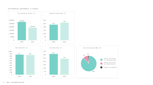#### Environmental performance in figures

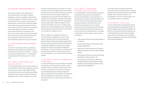### **2.3 SOCIAL RESPONSIBILITY**

Nevel has an impact on the wellbeing and lives of thousands of individuals, including employees, customers, suppliers and members of society in general. The impact relates to a wide range of areas from products, services and job opportunities to human rights, health and safety, environment, training, learning and innovations for the future. We strive to improve our corporate social responsibility performance in order to enhance the prosperity of communities. Our focus is on a strong safety culture and promoting future-proof local circular economies; ensuring the consideration of economic, social and environmental perspectives and a just transition. .

#### **2.3.1 SUSTAINABLE DEVELOPMENT GOALS**

Our work on social responsibility supports the following UN Sustainable Development Goals: 8 –Decent Work and Economic Growth; 9 – Industry, Innovation and Infrastructure; 12 – Responsible Consumption and Production; and 15 – Life on Land.

#### **2.3.1.1 SDG 8 – Decent Work and Economic Growth**

To promote decent work and economic growth, we are committed to offering our employees, partners, customers and visitors a safe, healthy working environment by continuously improving methods that prevent injuries and accidents and advance wellbeing at work. Health and safety are our top

priorities, and our target is zero injuries. Our aim is to build our health and safety culture to the highest level possible, and to do that we develop and utilise working instructions and regularly improve the competence of our personnel to help identify and mitigate risks and hazards. All employees have the right to return home safely after each working day. We also protect labour rights and adhere to anticorruption principles. Our aim is to create a great place to work via good leadership, work-life balance and development opportunities for all and to follow up on progress via regular surveys.

Nevel is subject to occupational safety and environmental law, regulations and acts. These require managing safety, providing leadership, putting policies in place and actively reducing risks. Nevel is certified according to the ISO 9001 quality management standard in Finland and is working towards ISO 14001 environmental management certification in Finland and Sweden. Complying with these standards requires proper measurement of, and improvements in, our social and environmental impacts.

#### **2.3.1.2 SDG 9 – Industry, Innovation and Infrastructure**

To make infrastructure more sustainable, we enable a technology-neutral transition to carbon-neutral operations for our customers and promote circular economy concepts from an economic, social and environmental perspective. We build advanced utility infrastructure for and together with industries and municipalities, and innovate new concepts. We strive to be part of a wider energy and material ecosystem.

#### **2.3.1.3 SDG 12 – Responsible Production and Consumption**

As a sustainability-focused company we advance responsible production and consumption by promoting and building circular economies via management of energy and material streams. We focus on long-term development and activities that reduce emissions and waste. We do this partly through developing our own energy production and partly by acquiring and investing in industrial utility infrastructures where we can work to achieve fossil-free operations. To develop a sustainable society through circular economy concepts, we

- continuously increase the use of side streams in our fuel mix
- recover excess energy and by-products from industrial applications
- create local circular economies for recovered materials and heat through our district heating network
- identify opportunities to use recovered energy and materials within industries and
	- increase resource efficiency by optimising energy production processes with our digital operations and maintenance platform and its machine learning algorithms.

Our target is also to promote responsible sourcing of biofuel and biodiversity by requiring and developing sustainable forest-use practices together with our biofuel suppliers. Our commitment is security of energy supply in all circumstances, for all our customers.

#### **2.3.1.4 SDG 15 – Life on Land**

In terms of biodiversity we promote this goal by requiring and developing sustainable forest-use practices together with our biofuel suppliers. Our goal is to use residual wood and increase the use of industrial side streams and other renewable energy sources. The locations of our production plants are managed in accordance with all relevant environmental regulations.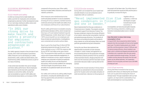#### **2.3.2 SOCIAL RESPONSIBILITY PERFORMANCE**

#### **2.3.2.1 Health and safety**

In 2021 our strong drive to make health and safety a priority for employees and contractors progressed as planned. Further development areas for our next steps relating to safety culture and operational safety were initiated.

"In 2021 our strong drive to make health and safety a priority for employees and contractors progressed as planned."

Our safety agenda is based on the principle of zero injuries, and in 2021 we focused on preventive safety measures such as developing our safety assessments, walks, audits and observations, and implementing safety-related discussions as part of our ways of working.

A new online tool was taken into use to manage and follow safety performance. Nevel employees were trained to use the tool with a particular emphasis on preventive safety. During the year we exceeded our goal of 1,000 safety and environmental observations, an increase of 40%

compared to the previous year. Other safety training included safety inductions and training for radiation protection.

Strict measures were maintained due to the continued global pandemic to secure availability of energy for all our customers, maintain business continuity and ensure the health and safety of our own employees and those of our subcontractors.

Nevel's safety performance is evaluated using key performance indicators (KPIs), which include lost time injury (LTI) and medical treatment required (MTR) frequencies. In 2021, Nevel had 4 LTIs and 1 MTR concerning both our own employees and those of external subcontractors. Investigations were conducted and corrective actions taken.

Nevel is part of the Great Place To Work (GPTW) employee programme through its annual Trust Index employee survey. In 2021 the response rate for our GPTW Trust Index survey was a record 91%. The programme helps quantify our company culture and increase employee engagement. In addition to employee surveys, regular employee meetings are conducted including occupational health and safety forums and development discussions, which provide a platform for managing individual targets and performance. Nevel provides an occupational health service for all its employees.

Our safety work continues by setting safety targets and actions, including the identification of new learning opportunities and activities in cooperation with our suppliers.

#### **2.3.2.2 Circular economy**

During 2021, we increased the use of waste heat and side streams in our own production and in cooperation with our customers.

# "Nevel implemented five flue gas condensers in Finland and one in Sweden."

Nevel implemented five flue gas condensers in Finland and one in Sweden. The projects received investment support from Business Finland. The flue gas condensers improve the energy efficiency of our plants, reducing fuel consumption, heat loss and greenhouse gas emissions. The residents of the areas surrounding the plants will be able to enjoy cleaner air as the technology filters out small particles generated during fuel combustion.

During the year Nevel also explored new opportunities to promote circular economy concepts in Juuka, Finland, and applied for an environmental permit for the production of biogas and fertiliser products primarily from by-products of the local food industry. Biogas production will start once the necessary permits have been issued and further decisions made in spring 2023 at the earliest.

To enhance the circular economy in Forssa, Nevel applied for an amendment to the environmental permit for its plant, which will enable utilisation of solid recovered fuel. A decision on the progress of

the project will be taken later. The initial share of solid recovered fuel would be 20% and the plan is to gradually increase this figure.

> Together with our customers, in 2021 we developed concepts to build local circular economies. In

municipalities, we have ensured paths towards fossil-free energy production, enabling a just transition to decarbonisation even in smaller towns.

#### *Case: New boiler to reduce total energy consumption in Orust*

*In August 2020, Nevel acquired two district heating networks from the municipality of Orust on the Swedish west coast. The district heating plants are in Henån and Ellös, and the production is about 9 GWh per year.*  To improve energy efficiency, Nevel installed a new *boiler, which is started and stopped automatically and is therefore only in operation when the solar panels are unable to generate enough energy. This results in better economy because the energy from the solar panels can be utilised optimally. The cooperation between Orust municipality and Nevel saves 300 MWh of energy per year.*

#### **2.3.2.3 Fuel sourcing**

During 2021 Nevel renewed its fuel sourcing practices with a focus on reducing the use of fossil fuels such as peat and increasing the share of residual wood. Through cooperation with our fuel suppliers, we improved the sustainability of our fuels and developed our sourcing practices.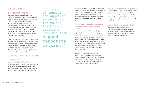## **2.4 GOVERNANCE**

#### **2.4.1 NEVEL'S GOVERNANCE**

Our goal is to become a sustainable and transparent corporate citizen in all the locations where we operate by having high ethics, ensuring transparent and accountable governance, maintaining proactive dialogue with local communities and implementing sophisticated risk-management practices to ensure compliance for our business and our operations. We are committed to building a culture that provides a safe, healthy working environment for us, our customers and our partners.

Nevel´s sustainability programme is monitored and guided by our ESG Committee, a preparatory body for the Board of Directors. The Nevel management team is responsible for the company's business operations, including planning and process development, as well as monitoring performance via business plans and financials.

#### **2.4.2 NEVEL'S PERFORMANCE IN 2021**

#### **2.4.2.1 High ethics**

Upon transfer of ownership to Ardian Infrastructure, a world-leading private investment house, a new governance structure was put in place following the rules and regulations defined by the Finnish Limited Liability Companies Act.

"Our code of conduct was approved as guidance for making the kinds of decisions required from **a good corporate citizen."**

Our code of conduct was approved as guidance for making the kinds of decisions required from a good corporate citizen. Following the code of conduct helps us promote fair business practices and shows that we expect the same from our business partners and anyone else involved in our value chain.

#### **2.4.2.2 Transparent and accountable governance and uncompromised compliance**

Nevel's management system has undergone major adaptions to be suitable for our purposes. This includes changes to the governance model as well as renewed processes and corresponding documentation. Internal audits were performed as part of our continuous improvement programme. A periodic external certification audit was performed by Kiwa confirming our management system complies with both ISO 9001 (Quality) and ISO 14001 (Environment).

Nevel's Privacy notice was updated in 2021. Nevel is committed to respecting privacy and processing personal data according to Regulation (EU) 2016/679 – the European Union's General Data Protection Regulation (GDPR) – and other applicable privacy laws and regulations.

#### **2.4.2.3 Sophisticated risk management**

As part of the company's control and monitoring system we conduct continuous evaluation of risks and opportunities at different levels of the company. On an overall level, the enterprise risk management model was reviewed and adapted to suit Nevel.

The main identified risks related to potential changes in the regulatory environment, development and potential uncertainties in fuel supply as well as risks associated with the operating environment such those related to safety, environment and cybersecurity.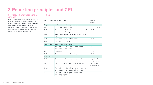# **3 Reporting principles and GRI**

#### **3.1.1 THE BASIS OF OUR REPORTING METHODS**

#### **3.1.2 GRI**

Nevel's Sustainability Report 2021 references the following disclosures from the Global Reporting Initiative (GRI) topic-specific standards presented in the table below. The reporting period is 1 January 2021 to 31 December 31 2021. Additional information about the report can be requested from Nevel's Director of Sustainability.

| GRI 2: General disclosures 2021 |                                                                                | Section,<br>comments          |  |  |
|---------------------------------|--------------------------------------------------------------------------------|-------------------------------|--|--|
|                                 | Organisation and its reporting practices                                       |                               |  |  |
| $2 - 1$                         | Organisational details                                                         | 1.1.1, 1.1.3                  |  |  |
| $2 - 2$                         | Entities included in the organisation's<br>sustainability reporting            | 1.1.2                         |  |  |
| $2 - 3$                         | Reporting period, frequency and contact<br>point                               | 1.1.2                         |  |  |
| $2 - 4$                         | Restatements of information                                                    | 1.1.2                         |  |  |
| $2 - 5$                         | External assurance                                                             | 1.1.2                         |  |  |
|                                 | Activities, value chain and workers                                            |                               |  |  |
| $2 - 6$                         | Activities, value chain and other<br>business relationships                    | 1.1.5                         |  |  |
| $2 - 7$                         | Employees                                                                      | 1.1.5                         |  |  |
| $2 - 8$                         | Workers who are not employees                                                  | 1.1.5                         |  |  |
| Governance                      |                                                                                |                               |  |  |
| $2 - 9$                         | Governance structure and composition                                           | 2.4, Nevel.<br>com/governance |  |  |
| $2 - 11$                        | Chair of the highest governance body                                           | 2.4, Nevel.<br>com/governance |  |  |
| $2 - 12$                        | Role of the highest governance body in<br>overseeing the management of impacts | 2.4                           |  |  |
| $2 - 13$                        | Delegation of responsibility for<br>managing impacts                           | 2.4                           |  |  |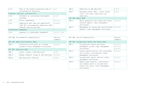| $2 - 14$               | Role of the highest governance body in<br>sustainability reporting                                            | 2.4          |  |
|------------------------|---------------------------------------------------------------------------------------------------------------|--------------|--|
|                        | Strategy, policies, and practices                                                                             |              |  |
| $2 - 22$               | Statement on sustainable development<br>strategy                                                              | 1.1.4        |  |
| $2 - 23$               | Policy commitments                                                                                            | 2.3.1.1      |  |
| $2 - 27$               | Compliance with laws and regulations<br>(GRI 307: Environmental Compliance 2016)<br>removed from revised GRI) | 2.4.2.2      |  |
| Stakeholder engagement |                                                                                                               |              |  |
| $2 - 29$               | Approach to stakeholder engagement                                                                            | 1.1.5, 1.1.2 |  |

| $305 - 5$           | Reduction of GHG emissions                                                                  | 2.2.2   |  |
|---------------------|---------------------------------------------------------------------------------------------|---------|--|
| $305 - 7$           | Nitrogen oxides (NOx), sulfur oxides<br>$(S0x)$ , and other significant air<br>emissions    | 2.2.2   |  |
| GRI 306: Waste 2020 |                                                                                             |         |  |
| $306 - 1$           | Waste generation and significant waste-<br>related impacts (Topic management<br>disclosure) | 2.3.1.3 |  |
| $306 - 2$           | Management of significant waste-related<br>impacts (Topic management disclosure)            | 2.2.2.4 |  |
|                     |                                                                                             |         |  |

|                                   | GRI 300: Environmental responsibility                                        | Section,<br>comments |  |
|-----------------------------------|------------------------------------------------------------------------------|----------------------|--|
| GRI 303: Water and Effluents 2018 |                                                                              |                      |  |
| $303 - 1$                         | Interaction with water as a shared<br>resource (Topic management disclosure) | 2.2.2.4              |  |
| GRI 305: Emissions 2016           |                                                                              |                      |  |
| $305 - 1$                         | Direct (Scope 1) GHG emissions                                               | 2.2.2                |  |
| $305 - 2$                         | Energy indirect (Scope 2) GHG emissions                                      | 2.2.2.4              |  |
| $305 - 4$                         | GHG emissions intensity                                                      | 2.2.2                |  |

|           | GRI 400: Social responsibility                                                                                                 | Section,                              |
|-----------|--------------------------------------------------------------------------------------------------------------------------------|---------------------------------------|
|           |                                                                                                                                | comments                              |
|           | GRI 403: Occupational Health and Safety 2018                                                                                   |                                       |
| $403 - 1$ | Occupational health and safety<br>management system (Topic management<br>disclosure)                                           | $2.3.1.1$ ,<br>$2.3.2.1$ ,<br>2.4.2.2 |
| $403 - 2$ | Hazard identification, risk assessment,<br>and incident investigation (Topic<br>management disclosure)                         | 2.3.2.1                               |
| $403 - 3$ | Occupational health services (Topic<br>management disclosure)                                                                  | 2.3.2.1                               |
| $403 - 4$ | Worker participation, consultation,<br>and communication on occupational<br>health and safety (Topic management<br>disclosure) | 2.3.2.1                               |